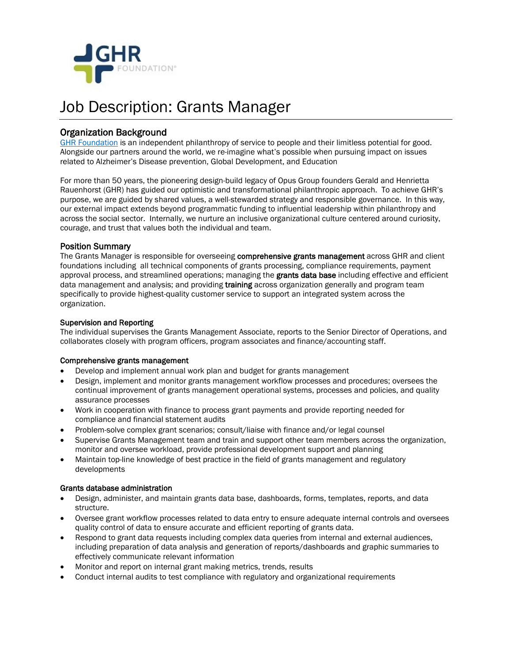

# Job Description: Grants Manager

[Organization B](http://www.ghrfoundation.org/)ackground<br>[GHR Foundation](http://www.ghrfoundation.org/) is an independent philanthropy of service to people and their limitless potential for good. Alongside our partners around the world, we re-imagine what's possible when pursuing impact on issues related to Alzheimer's Disease prevention, Global Development, and Education

For more than 50 years, the pioneering design-build legacy of Opus Group founders Gerald and Henrietta Rauenhorst (GHR) has guided our optimistic and transformational philanthropic approach. To achieve GHR's purpose, we are guided by shared values, a well-stewarded strategy and responsible governance. In this way, our external impact extends beyond programmatic funding to influential leadership within philanthropy and across the social sector. Internally, we nurture an inclusive organizational culture centered around curiosity, courage, and trust that values both the individual and team.

Position Summary<br>The Grants Manager is responsible for overseeing comprehensive grants management across GHR and client foundations including all technical components of grants processing, compliance requirements, payment approval process, and streamlined operations; managing the grants data base including effective and efficient data management and analysis; and providing training across organization generally and program team specifically to provide highest-quality customer service to support an integrated system across the organization.

### Supervision and Reporting

The individual supervises the Grants Management Associate, reports to the Senior Director of Operations, and collaborates closely with program officers, program associates and finance/accounting staff.

### Comprehensive grants management

- Develop and implement annual work plan and budget for grants management
- Design, implement and monitor grants management workflow processes and procedures; oversees the continual improvement of grants management operational systems, processes and policies, and quality assurance processes
- Work in cooperation with finance to process grant payments and provide reporting needed for compliance and financial statement audits
- Problem-solve complex grant scenarios; consult/liaise with finance and/or legal counsel
- Supervise Grants Management team and train and support other team members across the organization, monitor and oversee workload, provide professional development support and planning
- Maintain top-line knowledge of best practice in the field of grants management and regulatory developments

### Grants database administration

- Design, administer, and maintain grants data base, dashboards, forms, templates, reports, and data structure.
- Oversee grant workflow processes related to data entry to ensure adequate internal controls and oversees quality control of data to ensure accurate and efficient reporting of grants data.
- Respond to grant data requests including complex data queries from internal and external audiences, including preparation of data analysis and generation of reports/dashboards and graphic summaries to effectively communicate relevant information
- Monitor and report on internal grant making metrics, trends, results
- Conduct internal audits to test compliance with regulatory and organizational requirements